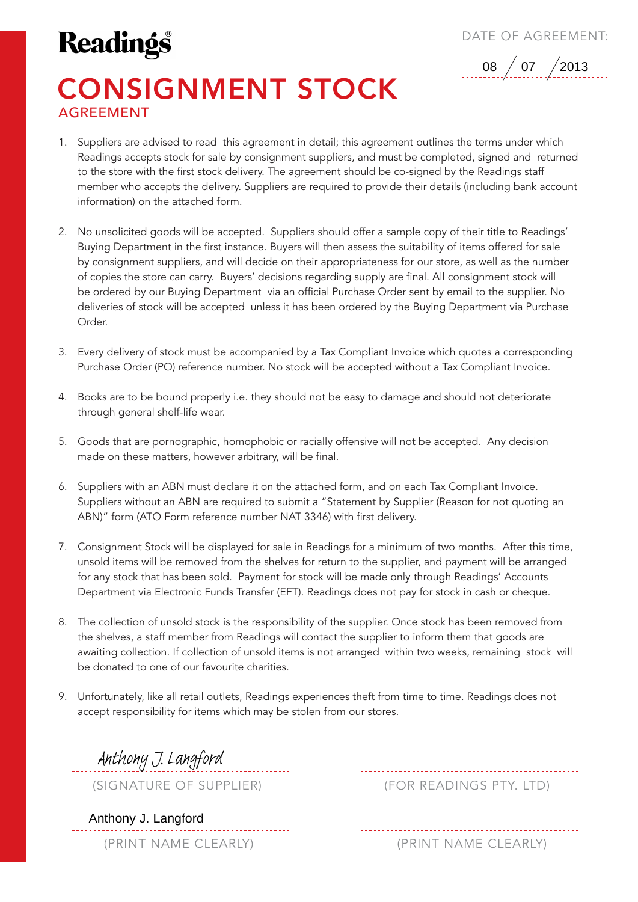## **Readings**

DATE OF AGREEMENT:



## CONSIGNMENT STOCK AGREEMENT

- 1. Suppliers are advised to read this agreement in detail; this agreement outlines the terms under which Readings accepts stock for sale by consignment suppliers, and must be completed, signed and returned to the store with the first stock delivery. The agreement should be co-signed by the Readings staff member who accepts the delivery. Suppliers are required to provide their details (including bank account information) on the attached form.
- 2. No unsolicited goods will be accepted. Suppliers should offer a sample copy of their title to Readings' Buying Department in the first instance. Buyers will then assess the suitability of items offered for sale by consignment suppliers, and will decide on their appropriateness for our store, as well as the number of copies the store can carry. Buyers' decisions regarding supply are final. All consignment stock will be ordered by our Buying Department via an official Purchase Order sent by email to the supplier. No deliveries of stock will be accepted unless it has been ordered by the Buying Department via Purchase Order.
- 3. Every delivery of stock must be accompanied by a Tax Compliant Invoice which quotes a corresponding Purchase Order (PO) reference number. No stock will be accepted without a Tax Compliant Invoice.
- 4. Books are to be bound properly i.e. they should not be easy to damage and should not deteriorate through general shelf-life wear.
- 5. Goods that are pornographic, homophobic or racially offensive will not be accepted. Any decision made on these matters, however arbitrary, will be final.
- 6. Suppliers with an ABN must declare it on the attached form, and on each Tax Compliant Invoice. Suppliers without an ABN are required to submit a "Statement by Supplier (Reason for not quoting an ABN)" form (ATO Form reference number NAT 3346) with first delivery.
- 7. Consignment Stock will be displayed for sale in Readings for a minimum of two months. After this time, unsold items will be removed from the shelves for return to the supplier, and payment will be arranged for any stock that has been sold. Payment for stock will be made only through Readings' Accounts Department via Electronic Funds Transfer (EFT). Readings does not pay for stock in cash or cheque.
- 8. The collection of unsold stock is the responsibility of the supplier. Once stock has been removed from the shelves, a staff member from Readings will contact the supplier to inform them that goods are awaiting collection. If collection of unsold items is not arranged within two weeks, remaining stock will be donated to one of our favourite charities.
- 9. Unfortunately, like all retail outlets, Readings experiences theft from time to time. Readings does not accept responsibility for items which may be stolen from our stores.

Anthony J. Langford

(SIGNATURE OF SUPPLIER) (FOR READINGS PTY. LTD)

Anthony J. Langford

(PRINT NAME CLEARLY) (PRINT NAME CLEARLY)